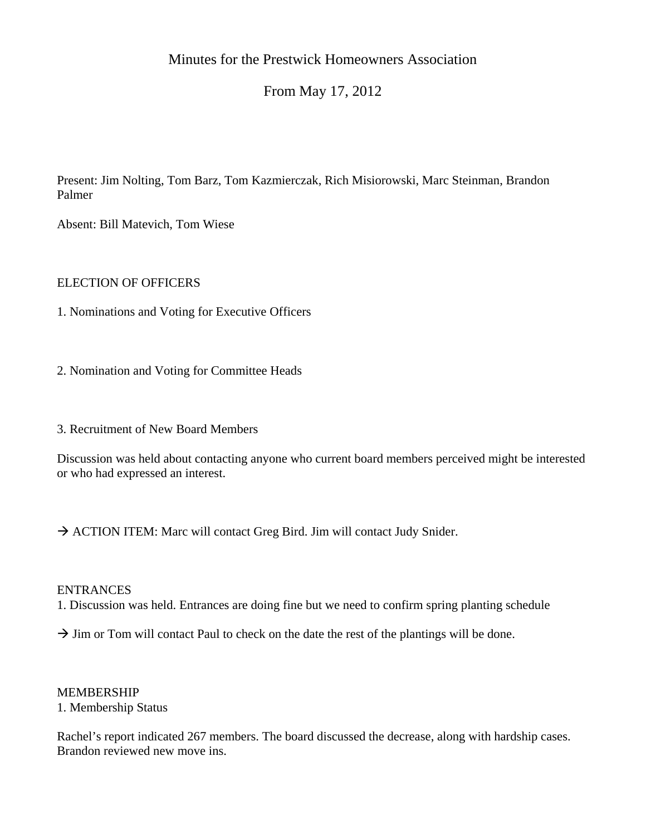# Minutes for the Prestwick Homeowners Association

## From May 17, 2012

Present: Jim Nolting, Tom Barz, Tom Kazmierczak, Rich Misiorowski, Marc Steinman, Brandon Palmer

Absent: Bill Matevich, Tom Wiese

## ELECTION OF OFFICERS

1. Nominations and Voting for Executive Officers

2. Nomination and Voting for Committee Heads

3. Recruitment of New Board Members

Discussion was held about contacting anyone who current board members perceived might be interested or who had expressed an interest.

 $\rightarrow$  ACTION ITEM: Marc will contact Greg Bird. Jim will contact Judy Snider.

#### ENTRANCES

1. Discussion was held. Entrances are doing fine but we need to confirm spring planting schedule

 $\rightarrow$  Jim or Tom will contact Paul to check on the date the rest of the plantings will be done.

#### MEMBERSHIP

1. Membership Status

Rachel's report indicated 267 members. The board discussed the decrease, along with hardship cases. Brandon reviewed new move ins.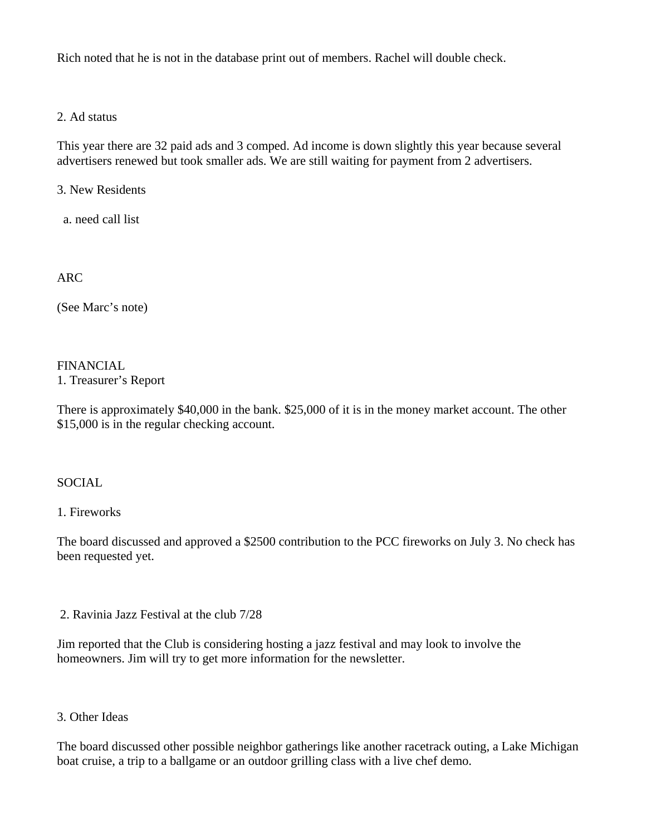Rich noted that he is not in the database print out of members. Rachel will double check.

2. Ad status

This year there are 32 paid ads and 3 comped. Ad income is down slightly this year because several advertisers renewed but took smaller ads. We are still waiting for payment from 2 advertisers.

3. New Residents

a. need call list

ARC

(See Marc's note)

FINANCIAL

1. Treasurer's Report

There is approximately \$40,000 in the bank. \$25,000 of it is in the money market account. The other \$15,000 is in the regular checking account.

**SOCIAL** 

1. Fireworks

The board discussed and approved a \$2500 contribution to the PCC fireworks on July 3. No check has been requested yet.

2. Ravinia Jazz Festival at the club 7/28

Jim reported that the Club is considering hosting a jazz festival and may look to involve the homeowners. Jim will try to get more information for the newsletter.

3. Other Ideas

The board discussed other possible neighbor gatherings like another racetrack outing, a Lake Michigan boat cruise, a trip to a ballgame or an outdoor grilling class with a live chef demo.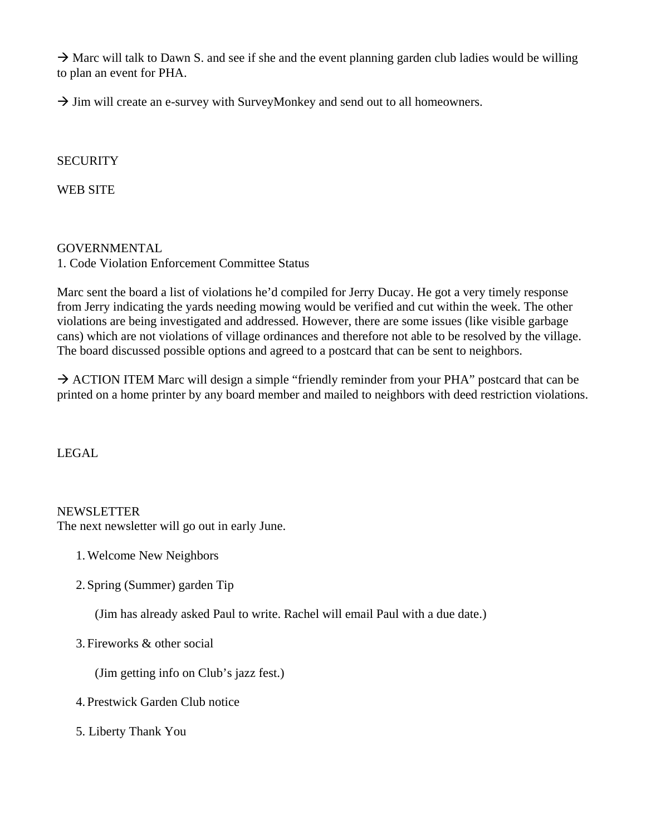$\rightarrow$  Marc will talk to Dawn S. and see if she and the event planning garden club ladies would be willing to plan an event for PHA.

 $\rightarrow$  Jim will create an e-survey with SurveyMonkey and send out to all homeowners.

## **SECURITY**

WEB SITE

GOVERNMENTAL 1. Code Violation Enforcement Committee Status

Marc sent the board a list of violations he'd compiled for Jerry Ducay. He got a very timely response from Jerry indicating the yards needing mowing would be verified and cut within the week. The other violations are being investigated and addressed. However, there are some issues (like visible garbage cans) which are not violations of village ordinances and therefore not able to be resolved by the village. The board discussed possible options and agreed to a postcard that can be sent to neighbors.

 $\rightarrow$  ACTION ITEM Marc will design a simple "friendly reminder from your PHA" postcard that can be printed on a home printer by any board member and mailed to neighbors with deed restriction violations.

LEGAL

#### **NEWSLETTER**

The next newsletter will go out in early June.

- 1.Welcome New Neighbors
- 2. Spring (Summer) garden Tip

(Jim has already asked Paul to write. Rachel will email Paul with a due date.)

3. Fireworks & other social

(Jim getting info on Club's jazz fest.)

- 4. Prestwick Garden Club notice
- 5. Liberty Thank You